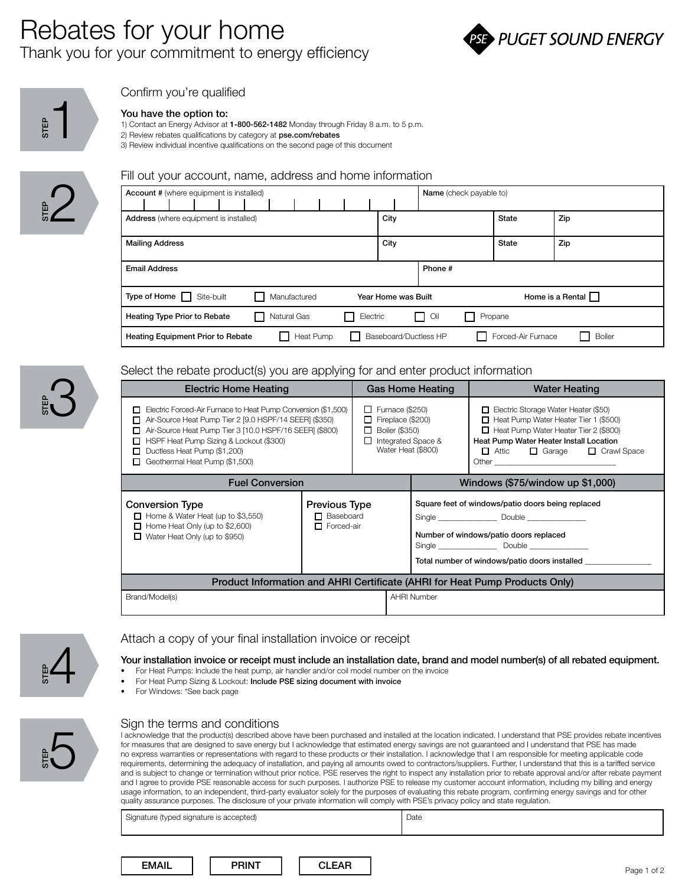## Rebates for your home Thank you for your commitment to energy efficiency





#### Confirm you're qualified

#### You have the option to:

1) Contact an Energy Advisor at 1-800-562-1482 Monday through Friday 8 a.m. to 5 p.m. 2) Review rebates qualifications by category at pse.com/rebates 3) Review individual incentive qualifications on the second page of this document



 $\sum_{n=1}^{\infty}$ 

#### Fill out your account, name, address and home information

| <b>Account #</b> (where equipment is installed) |  |  |              |           |  |                     |              | <b>Name</b> (check payable to) |      |                  |                       |  |                    |     |               |  |
|-------------------------------------------------|--|--|--------------|-----------|--|---------------------|--------------|--------------------------------|------|------------------|-----------------------|--|--------------------|-----|---------------|--|
|                                                 |  |  |              |           |  |                     |              |                                |      |                  |                       |  |                    |     |               |  |
| <b>Address</b> (where equipment is installed)   |  |  |              |           |  |                     |              |                                | City |                  |                       |  | <b>State</b>       | Zip |               |  |
| <b>Mailing Address</b>                          |  |  |              |           |  |                     |              |                                | City |                  |                       |  | <b>State</b>       | Zip |               |  |
| <b>Email Address</b>                            |  |  |              |           |  |                     |              |                                |      |                  | Phone #               |  |                    |     |               |  |
| Type of Home Site-built                         |  |  | Manufactured |           |  | Year Home was Built |              |                                |      | Home is a Rental |                       |  |                    |     |               |  |
| Heating Type Prior to Rebate                    |  |  | Natural Gas  |           |  |                     | $\mathbf{I}$ | Electric                       |      |                  | Oil<br>l I            |  | Propane            |     |               |  |
| <b>Heating Equipment Prior to Rebate</b>        |  |  |              | Heat Pump |  |                     |              |                                |      |                  | Baseboard/Ductless HP |  | Forced-Air Furnace |     | <b>Boiler</b> |  |

#### Select the rebate product(s) you are applying for and enter product information

| Electric Home Heating                                                                                                                                                                                                                                                                                     |                                                               |                                  |                                                   | Gas Home Heating                                                                                                                             | <b>Water Heating</b>                                                                                                                                                                                      |  |  |  |
|-----------------------------------------------------------------------------------------------------------------------------------------------------------------------------------------------------------------------------------------------------------------------------------------------------------|---------------------------------------------------------------|----------------------------------|---------------------------------------------------|----------------------------------------------------------------------------------------------------------------------------------------------|-----------------------------------------------------------------------------------------------------------------------------------------------------------------------------------------------------------|--|--|--|
| Electric Forced-Air Furnace to Heat Pump Conversion (\$1,500)<br>п<br>Air-Source Heat Pump Tier 2 [9.0 HSPF/14 SEER] (\$350)<br>Air-Source Heat Pump Tier 3 [10.0 HSPF/16 SEER] (\$800)<br>HSPF Heat Pump Sizing & Lockout (\$300)<br>Ductless Heat Pump (\$1,200)<br>П<br>Geothermal Heat Pump (\$1,500) |                                                               | $\Box$ Furnace (\$250)           | $\Box$ Fireplace (\$200)<br>$\Box$ Boiler (\$350) | Integrated Space &<br>Water Heat (\$800)                                                                                                     | Electric Storage Water Heater (\$50)<br>Heat Pump Water Heater Tier 1 (\$500)<br>Heat Pump Water Heater Tier 2 (\$800)<br>Heat Pump Water Heater Install Location<br>Attic <b>Garage</b><br>□ Crawl Space |  |  |  |
| <b>Fuel Conversion</b>                                                                                                                                                                                                                                                                                    |                                                               | Windows (\$75/window up \$1,000) |                                                   |                                                                                                                                              |                                                                                                                                                                                                           |  |  |  |
| <b>Conversion Type</b><br>$\Box$ Home & Water Heat (up to \$3,550)<br>Home Heat Only (up to \$2,600)<br>П<br>$\Box$ Water Heat Only (up to \$950)                                                                                                                                                         | <b>Previous Type</b><br>$\Box$ Baseboard<br>$\Box$ Forced-air |                                  |                                                   | Square feet of windows/patio doors being replaced<br>Number of windows/patio doors replaced<br>Total number of windows/patio doors installed |                                                                                                                                                                                                           |  |  |  |
| Product Information and AHRI Certificate (AHRI for Heat Pump Products Only)                                                                                                                                                                                                                               |                                                               |                                  |                                                   |                                                                                                                                              |                                                                                                                                                                                                           |  |  |  |
| Brand/Model(s)                                                                                                                                                                                                                                                                                            |                                                               |                                  |                                                   | <b>AHRI Number</b>                                                                                                                           |                                                                                                                                                                                                           |  |  |  |



### Attach a copy of your final installation invoice or receipt

# Your installation invoice or receipt must include an installation date, brand and model number(s) of all rebated equipment. • For Heat Pumps: Include the heat pump, air handler and/or coil model number<br>• For Heat Pump Sizing & Lockout: Include PSE sizing document with invoice<br>• For Windows: \*See back page

- For Heat Pumps: Include the heat pump, air handler and/or coil model number on the invoice
- 
- 



#### Sign the terms and conditions

I acknowledge that the product(s) described above have been purchased and installed at the location indicated. I understand that PSE provides rebate incentives for measures that are designed to save energy but I acknowledge that estimated energy savings are not guaranteed and I understand that PSE has made no express warranties or representations with regard to these products or their installation. I acknowledge that I am responsible for meeting applicable code requirements, determining the adequacy of installation, and paying all amounts owed to contractors/suppliers. Further, I understand that this is a tariffed service and is subject to change or termination without prior notice. PSE reserves the right to inspect any installation prior to rebate approval and/or after rebate payment and I agree to provide PSE reasonable access for such purposes. I authorize PSE to release my customer account information, including my billing and energy usage information, to an independent, third-party evaluator solely for the purposes of evaluating this rebate program, confirming energy savings and for other quality assurance purposes. The disclosure of your private information will comply with PSE's privacy policy and state regulation.

Signature (typed signature is accepted) Date

| <b>A 4 A 11</b> |  |
|-----------------|--|
|                 |  |
|                 |  |